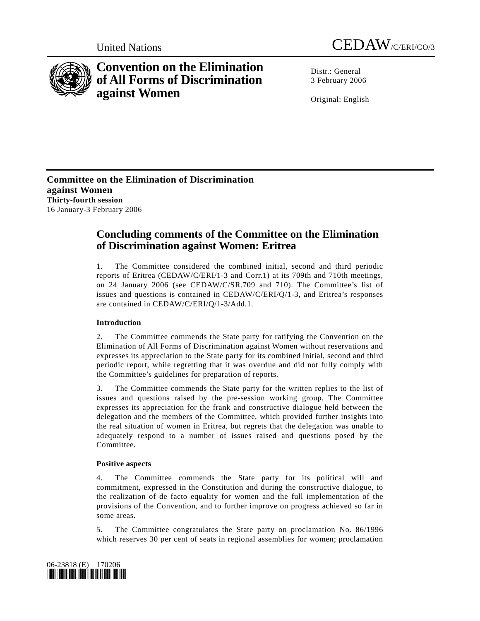



# **Convention on the Elimination of All Forms of Discrimination against Women**

Distr · General 3 February 2006

Original: English

**Committee on the Elimination of Discrimination against Women Thirty-fourth session**  16 January-3 February 2006

## **Concluding comments of the Committee on the Elimination of Discrimination against Women: Eritrea**

1. The Committee considered the combined initial, second and third periodic reports of Eritrea (CEDAW/C/ERI/1-3 and Corr.1) at its 709th and 710th meetings, on 24 January 2006 (see CEDAW/C/SR.709 and 710). The Committee's list of issues and questions is contained in CEDAW/C/ERI/Q/1-3, and Eritrea's responses are contained in CEDAW/C/ERI/Q/1-3/Add.1.

### **Introduction**

2. The Committee commends the State party for ratifying the Convention on the Elimination of All Forms of Discrimination against Women without reservations and expresses its appreciation to the State party for its combined initial, second and third periodic report, while regretting that it was overdue and did not fully comply with the Committee's guidelines for preparation of reports.

3. The Committee commends the State party for the written replies to the list of issues and questions raised by the pre-session working group. The Committee expresses its appreciation for the frank and constructive dialogue held between the delegation and the members of the Committee, which provided further insights into the real situation of women in Eritrea, but regrets that the delegation was unable to adequately respond to a number of issues raised and questions posed by the Committee.

### **Positive aspects**

4. The Committee commends the State party for its political will and commitment, expressed in the Constitution and during the constructive dialogue, to the realization of de facto equality for women and the full implementation of the provisions of the Convention, and to further improve on progress achieved so far in some areas.

5. The Committee congratulates the State party on proclamation No. 86/1996 which reserves 30 per cent of seats in regional assemblies for women; proclamation

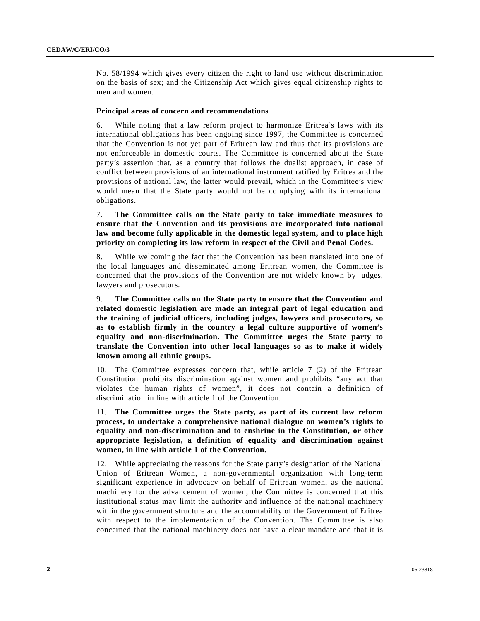No. 58/1994 which gives every citizen the right to land use without discrimination on the basis of sex; and the Citizenship Act which gives equal citizenship rights to men and women.

#### **Principal areas of concern and recommendations**

6. While noting that a law reform project to harmonize Eritrea's laws with its international obligations has been ongoing since 1997, the Committee is concerned that the Convention is not yet part of Eritrean law and thus that its provisions are not enforceable in domestic courts. The Committee is concerned about the State party's assertion that, as a country that follows the dualist approach, in case of conflict between provisions of an international instrument ratified by Eritrea and the provisions of national law, the latter would prevail, which in the Committee's view would mean that the State party would not be complying with its international obligations.

7. **The Committee calls on the State party to take immediate measures to ensure that the Convention and its provisions are incorporated into national law and become fully applicable in the domestic legal system, and to place high priority on completing its law reform in respect of the Civil and Penal Codes.**

8. While welcoming the fact that the Convention has been translated into one of the local languages and disseminated among Eritrean women, the Committee is concerned that the provisions of the Convention are not widely known by judges, lawyers and prosecutors.

9. **The Committee calls on the State party to ensure that the Convention and related domestic legislation are made an integral part of legal education and the training of judicial officers, including judges, lawyers and prosecutors, so as to establish firmly in the country a legal culture supportive of women's equality and non-discrimination. The Committee urges the State party to translate the Convention into other local languages so as to make it widely known among all ethnic groups.**

10. The Committee expresses concern that, while article 7 (2) of the Eritrean Constitution prohibits discrimination against women and prohibits "any act that violates the human rights of women", it does not contain a definition of discrimination in line with article 1 of the Convention.

11. **The Committee urges the State party, as part of its current law reform process, to undertake a comprehensive national dialogue on women's rights to equality and non-discrimination and to enshrine in the Constitution, or other appropriate legislation, a definition of equality and discrimination against women, in line with article 1 of the Convention.**

12. While appreciating the reasons for the State party's designation of the National Union of Eritrean Women, a non-governmental organization with long-term significant experience in advocacy on behalf of Eritrean women, as the national machinery for the advancement of women, the Committee is concerned that this institutional status may limit the authority and influence of the national machinery within the government structure and the accountability of the Government of Eritrea with respect to the implementation of the Convention. The Committee is also concerned that the national machinery does not have a clear mandate and that it is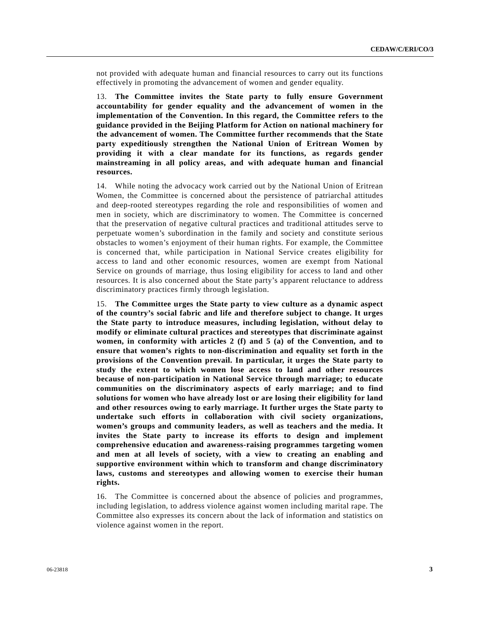not provided with adequate human and financial resources to carry out its functions effectively in promoting the advancement of women and gender equality.

13. **The Committee invites the State party to fully ensure Government accountability for gender equality and the advancement of women in the implementation of the Convention. In this regard, the Committee refers to the guidance provided in the Beijing Platform for Action on national machinery for the advancement of women. The Committee further recommends that the State party expeditiously strengthen the National Union of Eritrean Women by providing it with a clear mandate for its functions, as regards gender mainstreaming in all policy areas, and with adequate human and financial resources.**

14. While noting the advocacy work carried out by the National Union of Eritrean Women, the Committee is concerned about the persistence of patriarchal attitudes and deep-rooted stereotypes regarding the role and responsibilities of women and men in society, which are discriminatory to women. The Committee is concerned that the preservation of negative cultural practices and traditional attitudes serve to perpetuate women's subordination in the family and society and constitute serious obstacles to women's enjoyment of their human rights. For example, the Committee is concerned that, while participation in National Service creates eligibility for access to land and other economic resources, women are exempt from National Service on grounds of marriage, thus losing eligibility for access to land and other resources. It is also concerned about the State party's apparent reluctance to address discriminatory practices firmly through legislation.

15. **The Committee urges the State party to view culture as a dynamic aspect of the country's social fabric and life and therefore subject to change. It urges the State party to introduce measures, including legislation, without delay to modify or eliminate cultural practices and stereotypes that discriminate against women, in conformity with articles 2 (f) and 5 (a) of the Convention, and to ensure that women's rights to non-discrimination and equality set forth in the provisions of the Convention prevail. In particular, it urges the State party to study the extent to which women lose access to land and other resources because of non-participation in National Service through marriage; to educate communities on the discriminatory aspects of early marriage; and to find solutions for women who have already lost or are losing their eligibility for land and other resources owing to early marriage. It further urges the State party to undertake such efforts in collaboration with civil society organizations, women's groups and community leaders, as well as teachers and the media. It invites the State party to increase its efforts to design and implement comprehensive education and awareness-raising programmes targeting women and men at all levels of society, with a view to creating an enabling and supportive environment within which to transform and change discriminatory laws, customs and stereotypes and allowing women to exercise their human rights.**

16. The Committee is concerned about the absence of policies and programmes, including legislation, to address violence against women including marital rape. The Committee also expresses its concern about the lack of information and statistics on violence against women in the report.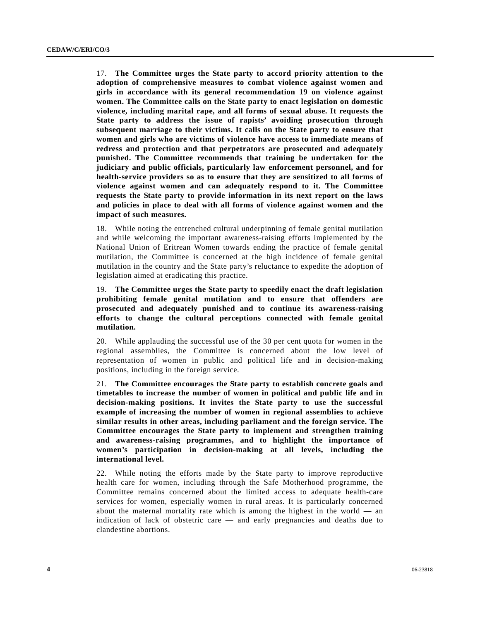17. **The Committee urges the State party to accord priority attention to the adoption of comprehensive measures to combat violence against women and girls in accordance with its general recommendation 19 on violence against women. The Committee calls on the State party to enact legislation on domestic violence, including marital rape, and all forms of sexual abuse. It requests the State party to address the issue of rapists' avoiding prosecution through subsequent marriage to their victims. It calls on the State party to ensure that women and girls who are victims of violence have access to immediate means of redress and protection and that perpetrators are prosecuted and adequately punished. The Committee recommends that training be undertaken for the judiciary and public officials, particularly law enforcement personnel, and for health-service providers so as to ensure that they are sensitized to all forms of violence against women and can adequately respond to it. The Committee requests the State party to provide information in its next report on the laws and policies in place to deal with all forms of violence against women and the impact of such measures.**

18. While noting the entrenched cultural underpinning of female genital mutilation and while welcoming the important awareness-raising efforts implemented by the National Union of Eritrean Women towards ending the practice of female genital mutilation, the Committee is concerned at the high incidence of female genital mutilation in the country and the State party's reluctance to expedite the adoption of legislation aimed at eradicating this practice.

19. **The Committee urges the State party to speedily enact the draft legislation prohibiting female genital mutilation and to ensure that offenders are prosecuted and adequately punished and to continue its awareness-raising efforts to change the cultural perceptions connected with female genital mutilation.**

20. While applauding the successful use of the 30 per cent quota for women in the regional assemblies, the Committee is concerned about the low level of representation of women in public and political life and in decision-making positions, including in the foreign service.

21. **The Committee encourages the State party to establish concrete goals and timetables to increase the number of women in political and public life and in decision-making positions. It invites the State party to use the successful example of increasing the number of women in regional assemblies to achieve similar results in other areas, including parliament and the foreign service. The Committee encourages the State party to implement and strengthen training and awareness-raising programmes, and to highlight the importance of women's participation in decision-making at all levels, including the international level.**

22. While noting the efforts made by the State party to improve reproductive health care for women, including through the Safe Motherhood programme, the Committee remains concerned about the limited access to adequate health-care services for women, especially women in rural areas. It is particularly concerned about the maternal mortality rate which is among the highest in the world — an indication of lack of obstetric care — and early pregnancies and deaths due to clandestine abortions.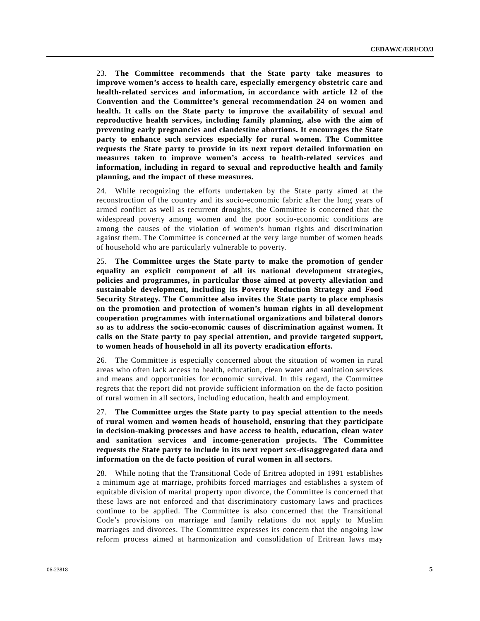23. **The Committee recommends that the State party take measures to improve women's access to health care, especially emergency obstetric care and health-related services and information, in accordance with article 12 of the Convention and the Committee's general recommendation 24 on women and health. It calls on the State party to improve the availability of sexual and reproductive health services, including family planning, also with the aim of preventing early pregnancies and clandestine abortions. It encourages the State party to enhance such services especially for rural women. The Committee requests the State party to provide in its next report detailed information on measures taken to improve women's access to health-related services and information, including in regard to sexual and reproductive health and family planning, and the impact of these measures.**

24. While recognizing the efforts undertaken by the State party aimed at the reconstruction of the country and its socio-economic fabric after the long years of armed conflict as well as recurrent droughts, the Committee is concerned that the widespread poverty among women and the poor socio-economic conditions are among the causes of the violation of women's human rights and discrimination against them. The Committee is concerned at the very large number of women heads of household who are particularly vulnerable to poverty.

25. **The Committee urges the State party to make the promotion of gender equality an explicit component of all its national development strategies, policies and programmes, in particular those aimed at poverty alleviation and sustainable development, including its Poverty Reduction Strategy and Food Security Strategy. The Committee also invites the State party to place emphasis on the promotion and protection of women's human rights in all development cooperation programmes with international organizations and bilateral donors so as to address the socio-economic causes of discrimination against women. It calls on the State party to pay special attention, and provide targeted support, to women heads of household in all its poverty eradication efforts.**

26. The Committee is especially concerned about the situation of women in rural areas who often lack access to health, education, clean water and sanitation services and means and opportunities for economic survival. In this regard, the Committee regrets that the report did not provide sufficient information on the de facto position of rural women in all sectors, including education, health and employment.

27. **The Committee urges the State party to pay special attention to the needs of rural women and women heads of household, ensuring that they participate in decision-making processes and have access to health, education, clean water and sanitation services and income-generation projects. The Committee requests the State party to include in its next report sex-disaggregated data and information on the de facto position of rural women in all sectors.**

28. While noting that the Transitional Code of Eritrea adopted in 1991 establishes a minimum age at marriage, prohibits forced marriages and establishes a system of equitable division of marital property upon divorce, the Committee is concerned that these laws are not enforced and that discriminatory customary laws and practices continue to be applied. The Committee is also concerned that the Transitional Code's provisions on marriage and family relations do not apply to Muslim marriages and divorces. The Committee expresses its concern that the ongoing law reform process aimed at harmonization and consolidation of Eritrean laws may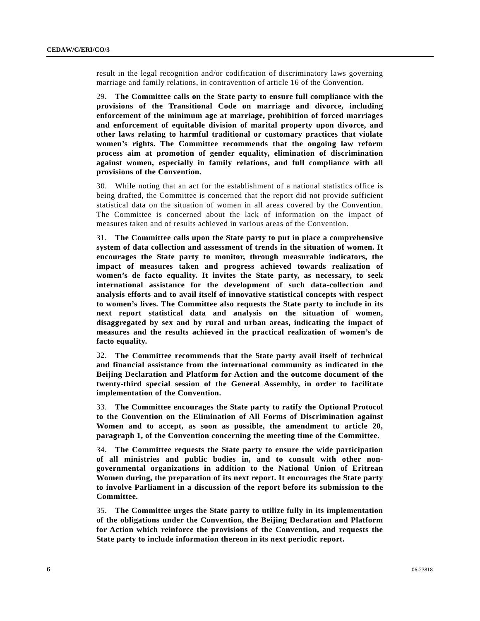result in the legal recognition and/or codification of discriminatory laws governing marriage and family relations, in contravention of article 16 of the Convention.

29. **The Committee calls on the State party to ensure full compliance with the provisions of the Transitional Code on marriage and divorce, including enforcement of the minimum age at marriage, prohibition of forced marriages and enforcement of equitable division of marital property upon divorce, and other laws relating to harmful traditional or customary practices that violate women's rights. The Committee recommends that the ongoing law reform process aim at promotion of gender equality, elimination of discrimination against women, especially in family relations, and full compliance with all provisions of the Convention.**

30. While noting that an act for the establishment of a national statistics office is being drafted, the Committee is concerned that the report did not provide sufficient statistical data on the situation of women in all areas covered by the Convention. The Committee is concerned about the lack of information on the impact of measures taken and of results achieved in various areas of the Convention.

31. **The Committee calls upon the State party to put in place a comprehensive system of data collection and assessment of trends in the situation of women. It encourages the State party to monitor, through measurable indicators, the impact of measures taken and progress achieved towards realization of women's de facto equality. It invites the State party, as necessary, to seek international assistance for the development of such data-collection and analysis efforts and to avail itself of innovative statistical concepts with respect to women's lives. The Committee also requests the State party to include in its next report statistical data and analysis on the situation of women, disaggregated by sex and by rural and urban areas, indicating the impact of measures and the results achieved in the practical realization of women's de facto equality.**

32. **The Committee recommends that the State party avail itself of technical and financial assistance from the international community as indicated in the Beijing Declaration and Platform for Action and the outcome document of the twenty-third special session of the General Assembly, in order to facilitate implementation of the Convention.**

33. **The Committee encourages the State party to ratify the Optional Protocol to the Convention on the Elimination of All Forms of Discrimination against Women and to accept, as soon as possible, the amendment to article 20, paragraph 1, of the Convention concerning the meeting time of the Committee.**

34. **The Committee requests the State party to ensure the wide participation of all ministries and public bodies in, and to consult with other nongovernmental organizations in addition to the National Union of Eritrean Women during, the preparation of its next report. It encourages the State party to involve Parliament in a discussion of the report before its submission to the Committee.**

35. **The Committee urges the State party to utilize fully in its implementation of the obligations under the Convention, the Beijing Declaration and Platform for Action which reinforce the provisions of the Convention, and requests the State party to include information thereon in its next periodic report.**